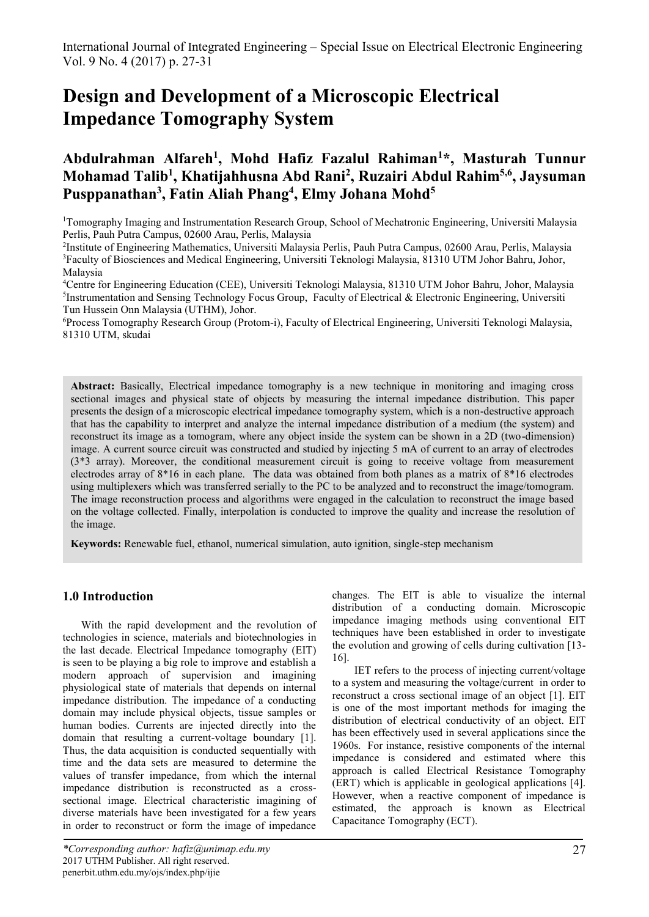# **Design and Development of a Microscopic Electrical Impedance Tomography System**

# **Abdulrahman Alfareh<sup>1</sup> , Mohd Hafiz Fazalul Rahiman<sup>1</sup>\*, Masturah Tunnur Mohamad Talib<sup>1</sup> , Khatijahhusna Abd Rani<sup>2</sup> , Ruzairi Abdul Rahim5,6 , Jaysuman Pusppanathan<sup>3</sup> , Fatin Aliah Phang 4 , Elmy Johana Mohd<sup>5</sup>**

<sup>1</sup>Tomography Imaging and Instrumentation Research Group, School of Mechatronic Engineering, Universiti Malaysia Perlis, Pauh Putra Campus, 02600 Arau, Perlis, Malaysia

2 Institute of Engineering Mathematics, Universiti Malaysia Perlis, Pauh Putra Campus, 02600 Arau, Perlis, Malaysia <sup>3</sup>Faculty of Biosciences and Medical Engineering, Universiti Teknologi Malaysia, 81310 UTM Johor Bahru, Johor, Malaysia

<sup>4</sup>Centre for Engineering Education (CEE), Universiti Teknologi Malaysia, 81310 UTM Johor Bahru, Johor, Malaysia <sup>5</sup>Instrumentation and Sensing Technology Focus Group, Faculty of Electrical & Electronic Engineering, Universiti Tun Hussein Onn Malaysia (UTHM), Johor.

<sup>6</sup>Process Tomography Research Group (Protom-i), Faculty of Electrical Engineering, Universiti Teknologi Malaysia, 81310 UTM, skudai

**Abstract:** Basically, Electrical impedance tomography is a new technique in monitoring and imaging cross sectional images and physical state of objects by measuring the internal impedance distribution. This paper presents the design of a microscopic electrical impedance tomography system, which is a non-destructive approach that has the capability to interpret and analyze the internal impedance distribution of a medium (the system) and reconstruct its image as a tomogram, where any object inside the system can be shown in a 2D (two-dimension) image. A current source circuit was constructed and studied by injecting 5 mA of current to an array of electrodes (3\*3 array). Moreover, the conditional measurement circuit is going to receive voltage from measurement electrodes array of 8\*16 in each plane. The data was obtained from both planes as a matrix of 8\*16 electrodes using multiplexers which was transferred serially to the PC to be analyzed and to reconstruct the image/tomogram. The image reconstruction process and algorithms were engaged in the calculation to reconstruct the image based on the voltage collected. Finally, interpolation is conducted to improve the quality and increase the resolution of the image.

**Keywords:** Renewable fuel, ethanol, numerical simulation, auto ignition, single-step mechanism

# **1.0 Introduction**

 With the rapid development and the revolution of technologies in science, materials and biotechnologies in the last decade. Electrical Impedance tomography (EIT) is seen to be playing a big role to improve and establish a modern approach of supervision and imagining physiological state of materials that depends on internal impedance distribution. The impedance of a conducting domain may include physical objects, tissue samples or human bodies. Currents are injected directly into the domain that resulting a current-voltage boundary [1]. Thus, the data acquisition is conducted sequentially with time and the data sets are measured to determine the values of transfer impedance, from which the internal impedance distribution is reconstructed as a crosssectional image. Electrical characteristic imagining of diverse materials have been investigated for a few years in order to reconstruct or form the image of impedance

changes. The EIT is able to visualize the internal distribution of a conducting domain. Microscopic impedance imaging methods using conventional EIT techniques have been established in order to investigate the evolution and growing of cells during cultivation [13- 16].

 IET refers to the process of injecting current/voltage to a system and measuring the voltage/current in order to reconstruct a cross sectional image of an object [1]. EIT is one of the most important methods for imaging the distribution of electrical conductivity of an object. EIT has been effectively used in several applications since the 1960s. For instance, resistive components of the internal impedance is considered and estimated where this approach is called Electrical Resistance Tomography (ERT) which is applicable in geological applications [4]. However, when a reactive component of impedance is estimated, the approach is known as Electrical Capacitance Tomography (ECT).

*<sup>\*</sup>Corresponding author: hafiz@unimap.edu.my* 2017 UTHM Publisher. All right reserved. penerbit.uthm.edu.my/ojs/index.php/ijie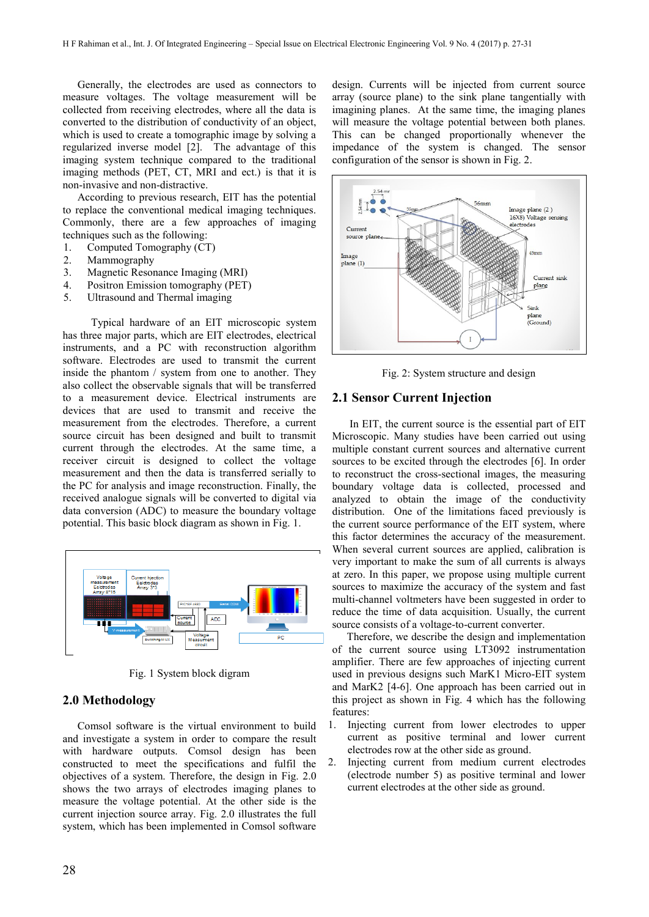Generally, the electrodes are used as connectors to measure voltages. The voltage measurement will be collected from receiving electrodes, where all the data is converted to the distribution of conductivity of an object, which is used to create a tomographic image by solving a regularized inverse model [2]. The advantage of this imaging system technique compared to the traditional imaging methods (PET, CT, MRI and ect.) is that it is non-invasive and non-distractive.

According to previous research, EIT has the potential to replace the conventional medical imaging techniques. Commonly, there are a few approaches of imaging techniques such as the following:

- 1. Computed Tomography (CT)
- 2. Mammography
- 3. Magnetic Resonance Imaging (MRI)
- 4. Positron Emission tomography (PET)
- 5. Ultrasound and Thermal imaging

 Typical hardware of an EIT microscopic system has three major parts, which are EIT electrodes, electrical instruments, and a PC with reconstruction algorithm software. Electrodes are used to transmit the current inside the phantom / system from one to another. They also collect the observable signals that will be transferred to a measurement device. Electrical instruments are devices that are used to transmit and receive the measurement from the electrodes. Therefore, a current source circuit has been designed and built to transmit current through the electrodes. At the same time, a receiver circuit is designed to collect the voltage measurement and then the data is transferred serially to the PC for analysis and image reconstruction. Finally, the received analogue signals will be converted to digital via data conversion (ADC) to measure the boundary voltage potential. This basic block diagram as shown in Fig. 1.



Fig. 1 System block digram

### **2.0 Methodology**

Comsol software is the virtual environment to build and investigate a system in order to compare the result with hardware outputs. Comsol design has been constructed to meet the specifications and fulfil the objectives of a system. Therefore, the design in Fig. 2.0 shows the two arrays of electrodes imaging planes to measure the voltage potential. At the other side is the current injection source array. Fig. 2.0 illustrates the full system, which has been implemented in Comsol software

design. Currents will be injected from current source array (source plane) to the sink plane tangentially with imagining planes. At the same time, the imaging planes will measure the voltage potential between both planes. This can be changed proportionally whenever the impedance of the system is changed. The sensor configuration of the sensor is shown in Fig. 2.



Fig. 2: System structure and design

#### **2.1 Sensor Current Injection**

In EIT, the current source is the essential part of EIT Microscopic. Many studies have been carried out using multiple constant current sources and alternative current sources to be excited through the electrodes [6]. In order to reconstruct the cross-sectional images, the measuring boundary voltage data is collected, processed and analyzed to obtain the image of the conductivity distribution. One of the limitations faced previously is the current source performance of the EIT system, where this factor determines the accuracy of the measurement. When several current sources are applied, calibration is very important to make the sum of all currents is always at zero. In this paper, we propose using multiple current sources to maximize the accuracy of the system and fast multi-channel voltmeters have been suggested in order to reduce the time of data acquisition. Usually, the current source consists of a voltage-to-current converter.

Therefore, we describe the design and implementation of the current source using LT3092 instrumentation amplifier. There are few approaches of injecting current used in previous designs such MarK1 Micro-EIT system and MarK2 [4-6]. One approach has been carried out in this project as shown in Fig. 4 which has the following features:

- 1. Injecting current from lower electrodes to upper current as positive terminal and lower current electrodes row at the other side as ground.
- 2. Injecting current from medium current electrodes (electrode number 5) as positive terminal and lower current electrodes at the other side as ground.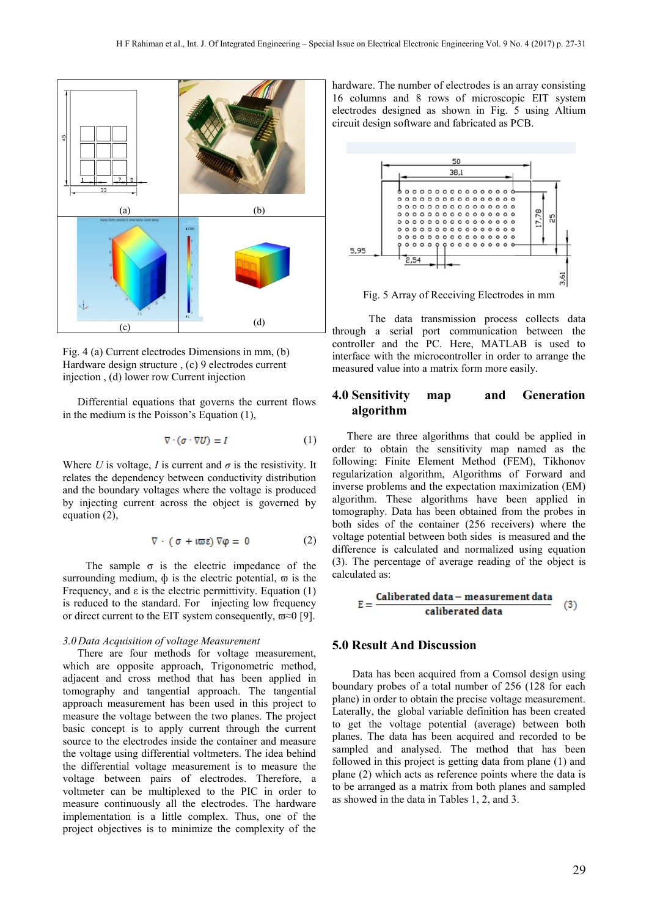

Fig. 4 (a) Current electrodes Dimensions in mm, (b) Hardware design structure , (c) 9 electrodes current injection , (d) lower row Current injection

Differential equations that governs the current flows in the medium is the Poisson's Equation (1),

$$
\nabla \cdot (\sigma \cdot \nabla U) = I \tag{1}
$$

Where *U* is voltage, *I* is current and  $\sigma$  is the resistivity. It relates the dependency between conductivity distribution and the boundary voltages where the voltage is produced by injecting current across the object is governed by equation (2),

$$
\nabla \cdot (\sigma + \iota \varpi \epsilon) \nabla \varphi = 0 \tag{2}
$$

The sample  $\sigma$  is the electric impedance of the surrounding medium,  $\phi$  is the electric potential,  $\varpi$  is the Frequency, and  $\varepsilon$  is the electric permittivity. Equation (1) is reduced to the standard. For injecting low frequency or direct current to the EIT system consequently,  $\varpi \approx 0$  [9].

#### *3.0 Data Acquisition of voltage Measurement*

There are four methods for voltage measurement, which are opposite approach, Trigonometric method, adjacent and cross method that has been applied in tomography and tangential approach. The tangential approach measurement has been used in this project to measure the voltage between the two planes. The project basic concept is to apply current through the current source to the electrodes inside the container and measure the voltage using differential voltmeters. The idea behind the differential voltage measurement is to measure the voltage between pairs of electrodes. Therefore, a voltmeter can be multiplexed to the PIC in order to measure continuously all the electrodes. The hardware implementation is a little complex. Thus, one of the project objectives is to minimize the complexity of the

hardware. The number of electrodes is an array consisting 16 columns and 8 rows of microscopic EIT system electrodes designed as shown in Fig. 5 using Altium circuit design software and fabricated as PCB.



Fig. 5 Array of Receiving Electrodes in mm

 The data transmission process collects data through a serial port communication between the controller and the PC. Here, MATLAB is used to interface with the microcontroller in order to arrange the measured value into a matrix form more easily.

# **4.0 Sensitivity map and Generation algorithm**

There are three algorithms that could be applied in order to obtain the sensitivity map named as the following: Finite Element Method (FEM), Tikhonov regularization algorithm, Algorithms of Forward and inverse problems and the expectation maximization (EM) algorithm. These algorithms have been applied in tomography. Data has been obtained from the probes in both sides of the container (256 receivers) where the voltage potential between both sides is measured and the difference is calculated and normalized using equation (3). The percentage of average reading of the object is calculated as:

$$
E = \frac{\text{Caliberated data} - \text{measurement data}}{\text{caliberated data}} \quad (3)
$$

## **5.0 Result And Discussion**

 Data has been acquired from a Comsol design using boundary probes of a total number of 256 (128 for each plane) in order to obtain the precise voltage measurement. Laterally, the global variable definition has been created to get the voltage potential (average) between both planes. The data has been acquired and recorded to be sampled and analysed. The method that has been followed in this project is getting data from plane (1) and plane (2) which acts as reference points where the data is to be arranged as a matrix from both planes and sampled as showed in the data in Tables 1, 2, and 3.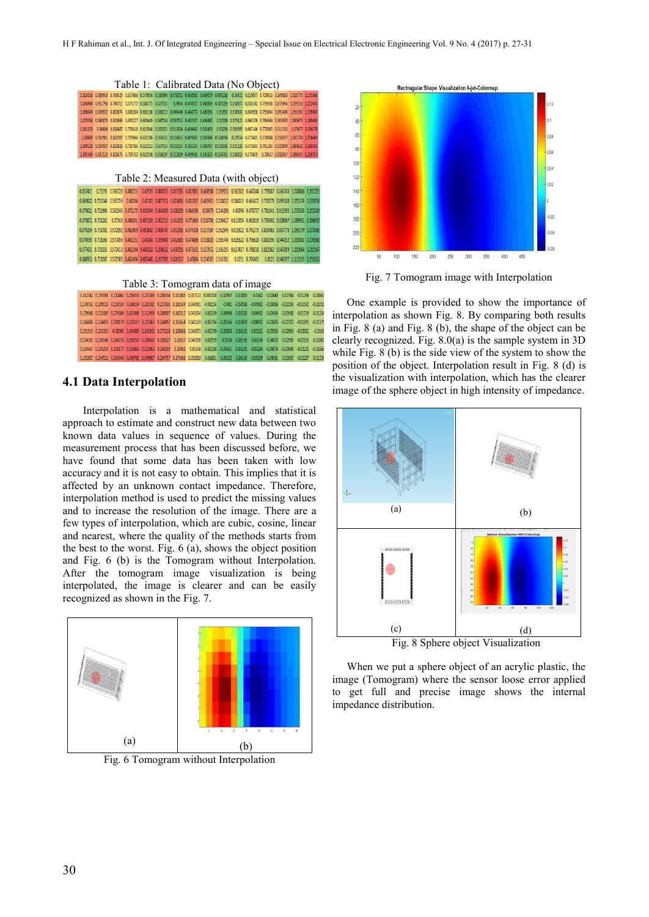|  | Table 1: Calibrated Data (No Object) |  |
|--|--------------------------------------|--|
|--|--------------------------------------|--|

|  |  |  |  | 1.024058 0.889914 0.764429 0.657066 0.574956 0.514904 0.478352 0.463565 0.469079 0.495238 0.54472 0.619077 0.720016 0.849883 1.010775 1.19146  |  |  |  |
|--|--|--|--|------------------------------------------------------------------------------------------------------------------------------------------------|--|--|--|
|  |  |  |  | 1.048904 0.912798 0.784712 0.675272 0.588775 0.527555 0.4904 0.474537 0.480369 0.507219 0.558977 0.636142 0.739266 0.873946 1.039153 1.22244   |  |  |  |
|  |  |  |  | 1.066049 0.929552 0.800674 0.688284 0.601188 0.538712 0.499446 0.484773 0.489393 0.51853 0.570533 0.649558 0.755694 0.891486 1.058163 1.23986  |  |  |  |
|  |  |  |  | 1.075954 0.940879 0.810669 0.699227 0.609449 0.547534 0.507533 0.492397 0.496865 0.52708 0.579123 0.660376 0.766964 0.903609 1.069679 1.24940  |  |  |  |
|  |  |  |  | 1.081828 0.94806 0.818487 0.705418 0.615548 0.552921 0.513924 0.496642 0.503495 0.53206 0.585995 0.667146 0.775069 0.911313 1.07677 1.25437    |  |  |  |
|  |  |  |  | 1.08608 0.951901 0.821907 0.709666 0.620786 0.556325 0.518415 0.499543 0.505884 0.534934 0.57014 0.671485 0.778984 0.916977 1.081724 1.25644   |  |  |  |
|  |  |  |  | 1.089228 0.954927 0.823826 0.710786 0.623252 0.557014 0.518153 0.501314 0.506787 0.535058 0.591118 0.672483 0.781145 0.919894 1.084818 1.26054 |  |  |  |
|  |  |  |  | 1.095369 0.957123 0.823673 0.709732 0.620598 0.556039 0.515839 0.499436 0.505103 0.534761 0.588923 0.670869 0.78057 0.920367 1.088435 1.26975  |  |  |  |

|  |  | 0.857401 0.71593 0.586728 0.488255 0.42928 0.408353 0.415265 0.437081 0.468934 0.509932 0.565502 0.640248 0.739087 0.866743 1.024886 1.2017   |  |  |  |  |  |  |
|--|--|-----------------------------------------------------------------------------------------------------------------------------------------------|--|--|--|--|--|--|
|  |  | 0.869822 0.721546 0.585759 0.48204 0.42181 0.407311 0.423436 0.452267 0.485911 0.528017 0.584513 0.661472 0.762078 0.893108 1.055174 1.2350   |  |  |  |  |  |  |
|  |  | 0.874621 0.721904 0.581046 0.472172 0.413344 0.404839 0.428269 0.464396 0.50079 0.544298 0.60096 0.678737 0.781641 0.913395 1.076356 1.2551   |  |  |  |  |  |  |
|  |  | 0.874871 0.720282 0.57543 0.466301 0.407193 0.402713 0.431071 0.471634 0.510756 0.556417 0.613054 0.692819 0.795302 0.928067 1.089951 1.2666  |  |  |  |  |  |  |
|  |  | 0.874204 0.718702 0.572892 0.462059 0.403842 0.400747 0.432391 0.474306 0.517334 0.562949 0.621922 0.701375 0.805483 0.937773 1.099179 1.2730 |  |  |  |  |  |  |
|  |  | 0.874995 0.718165 0.571456 0.461101 0.40341 0.399649 0.432685 0.474866 0.518828 0.565746 0.626522 0.706628 0.810396 0.944352 1.105033 1.2763  |  |  |  |  |  |  |
|  |  | 0.877431 0.720155 0.572413 0.461394 0.404202 0.398622 0.430258 0.473501 0.517672 0.565293 0.627417 0.708018 0.812982 0.947899 1.109064 1.2815 |  |  |  |  |  |  |
|  |  | 0.884963 0.723087 0.572989 0.461494 0.403446 0.397703 0.426357 0.47004 0.514505 0.563381 0.6251 0.706483 0.8125 0.948597 1.113325 1.2916      |  |  |  |  |  |  |

Table 3: Tomogram data of image

|  |  |  |  |  |  |  | 0.162742 0.195506 0.232462 0.256916 0.253369 0.206934 0.131885 0.057132 0.000308 -0.02967 -0.03815 -0.0342 -0.02649 -0.01984 -0.01396 -0.008  |  |
|--|--|--|--|--|--|--|-----------------------------------------------------------------------------------------------------------------------------------------------|--|
|  |  |  |  |  |  |  | 0.170732 0.209523 0.253536 0.286154 0.283581 0.227926 0.136549 0.046931 -0.01154 -0.041 -0.04568 -0.03982 -0.03086 -0.02193 -0.01542 -0.010   |  |
|  |  |  |  |  |  |  | 0.179568 0.223385 0.274304 0.313986 0.312456 0.248507 0.142512 0.042034 -0.02329 -0.04969 -0.05333 -0.04492 -0.03434 -0.02458 -0.01719 -0.012 |  |
|  |  |  |  |  |  |  | 0.186888 0.234459 0.290179 0.333119 0.331867 0.264497 0.150654 0.042169 -0.02796 -0.05566 -0.05859 -0.04913 -0.03695 -0.02707 -0.01895 -0.013 |  |
|  |  |  |  |  |  |  | 0.191919 0.241924 0.30006 0.344986 0.343932 0.275218 0.158648 0.044973 -0.02749 -0.05806 -0.06131 -0.05131 -0.03924 -0.02904 -0.02081 -0.01   |  |
|  |  |  |  |  |  |  | 0.194355 0.245546 0.304718 0.350257 0.350163 0.281627 0.16537 0.049398 -0.02559 -0.0576 -0.06165 -0.05234 -0.04032 -0.02985 -0.02155 -0.016   |  |
|  |  |  |  |  |  |  | 0.194447 0.245854 0.305177 0.350869 0.351463 0.284359 0.16963 0.05548 -0.02148 -0.06651 -0.06141 -0.05284 -0.04076 -0.03044 -0.02235 -0.016   |  |
|  |  |  |  |  |  |  | 0.192087 0.244521 0.304349 0.349762 0.349907 0.284757 0.173468 0.058858 -0.01861 -0.05352 -0.06143 -0.05309 -0.04091 -0.03067 -0.02287 0.017  |  |

## **4.1 Data Interpolation**

 Interpolation is a mathematical and statistical approach to estimate and construct new data between two known data values in sequence of values. During the measurement process that has been discussed before, we have found that some data has been taken with low accuracy and it is not easy to obtain. This implies that it is affected by an unknown contact impedance. Therefore, interpolation method is used to predict the missing values and to increase the resolution of the image. There are a few types of interpolation, which are cubic, cosine, linear and nearest, where the quality of the methods starts from the best to the worst. Fig. 6 (a), shows the object position and Fig. 6 (b) is the Tomogram without Interpolation. After the tomogram image visualization is being interpolated, the image is clearer and can be easily recognized as shown in the Fig. 7.



Fig. 6 Tomogram without Interpolation



Fig. 7 Tomogram image with Interpolation

One example is provided to show the importance of interpolation as shown Fig. 8. By comparing both results in Fig. 8 (a) and Fig. 8 (b), the shape of the object can be clearly recognized. Fig. 8.0(a) is the sample system in 3D while Fig.  $8$  (b) is the side view of the system to show the position of the object. Interpolation result in Fig. 8 (d) is the visualization with interpolation, which has the clearer image of the sphere object in high intensity of impedance.



When we put a sphere object of an acrylic plastic, the image (Tomogram) where the sensor loose error applied to get full and precise image shows the internal impedance distribution.